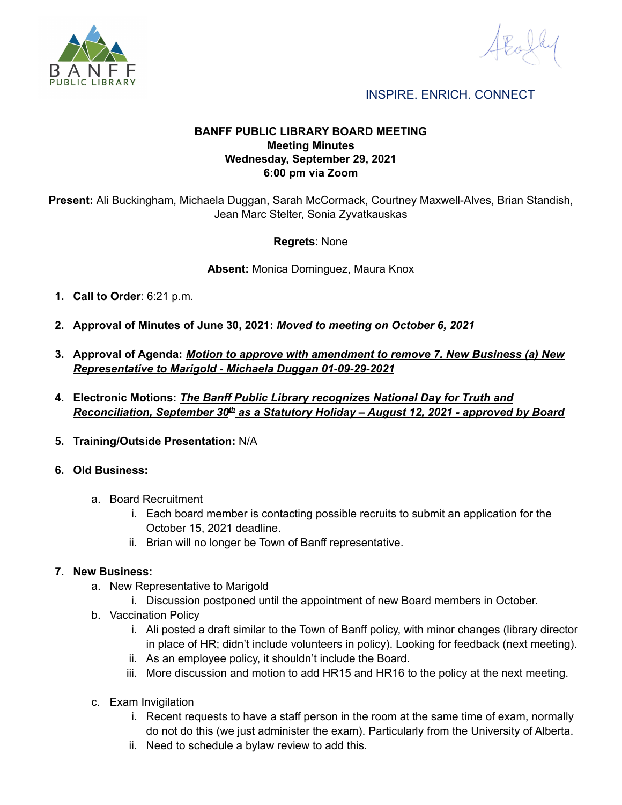

INSPIRE. ENRICH. CONNECT

#### **BANFF PUBLIC LIBRARY BOARD MEETING Meeting Minutes Wednesday, September 29, 2021 6:00 pm via Zoom**

**Present:** Ali Buckingham, Michaela Duggan, Sarah McCormack, Courtney Maxwell-Alves, Brian Standish, Jean Marc Stelter, Sonia Zyvatkauskas

#### **Regrets**: None

**Absent:** Monica Dominguez, Maura Knox

- **1. Call to Order**: 6:21 p.m.
- **2. Approval of Minutes of June 30, 2021:** *Moved to meeting on October 6, 2021*
- **3. Approval of Agenda:** *Motion to approve with amendment to remove 7. New Business (a) New Representative to Marigold - Michaela Duggan 01-09-29-2021*
- **4. Electronic Motions:** *The Banff Public Library recognizes National Day for Truth and Reconciliation, September 30th as a Statutory Holiday – August 12, 2021 - approved by Board*
- **5. Training/Outside Presentation:** N/A
- **6. Old Business:**
	- a. Board Recruitment
		- i. Each board member is contacting possible recruits to submit an application for the October 15, 2021 deadline.
		- ii. Brian will no longer be Town of Banff representative.

#### **7. New Business:**

- a. New Representative to Marigold
	- i. Discussion postponed until the appointment of new Board members in October.
- b. Vaccination Policy
	- i. Ali posted a draft similar to the Town of Banff policy, with minor changes (library director in place of HR; didn't include volunteers in policy). Looking for feedback (next meeting).
	- ii. As an employee policy, it shouldn't include the Board.
	- iii. More discussion and motion to add HR15 and HR16 to the policy at the next meeting.
- c. Exam Invigilation
	- i. Recent requests to have a staff person in the room at the same time of exam, normally do not do this (we just administer the exam). Particularly from the University of Alberta.
	- ii. Need to schedule a bylaw review to add this.